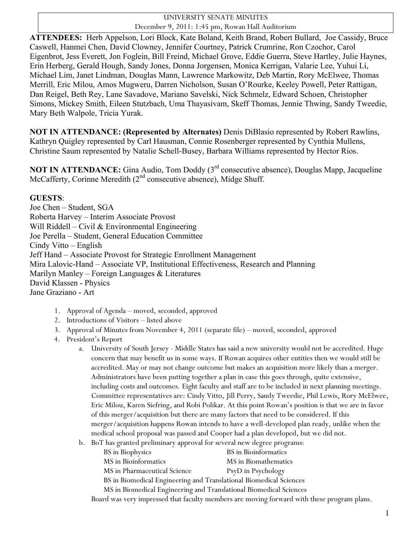## UNIVERSITY SENATE MINUTES December 9, 2011: 1:45 pm, Rowan Hall Auditorium

**ATTENDEES:** Herb Appelson, Lori Block, Kate Boland, Keith Brand, Robert Bullard, Joe Cassidy, Bruce Caswell, Hanmei Chen, David Clowney, Jennifer Courtney, Patrick Crumrine, Ron Czochor, Carol Eigenbrot, Jess Everett, Jon Foglein, Bill Freind, Michael Grove, Eddie Guerra, Steve Hartley, Julie Haynes, Erin Herberg, Gerald Hough, Sandy Jones, Donna Jorgensen, Monica Kerrigan, Valarie Lee, Yuhui Li, Michael Lim, Janet Lindman, Douglas Mann, Lawrence Markowitz, Deb Martin, Rory McElwee, Thomas Merrill, Eric Milou, Amos Mugweru, Darren Nicholson, Susan O'Rourke, Keeley Powell, Peter Rattigan, Dan Reigel, Beth Rey, Lane Savadove, Mariano Savelski, Nick Schmelz, Edward Schoen, Christopher Simons, Mickey Smith, Eileen Stutzbach, Uma Thayasivam, Skeff Thomas, Jennie Thwing, Sandy Tweedie, Mary Beth Walpole, Tricia Yurak.

**NOT IN ATTENDANCE: (Represented by Alternates)** Denis DiBlasio represented by Robert Rawlins, Kathryn Quigley represented by Carl Hausman, Connie Rosenberger represented by Cynthia Mullens, Christine Saum represented by Natalie Schell-Busey, Barbara Williams represented by Hector Rios.

**NOT IN ATTENDANCE:** Gina Audio, Tom Doddy (3<sup>rd</sup> consecutive absence), Douglas Mapp, Jacqueline McCafferty, Corinne Meredith  $(2<sup>nd</sup>$  consecutive absence), Midge Shuff.

## **GUESTS**:

Joe Chen – Student, SGA Roberta Harvey – Interim Associate Provost Will Riddell – Civil  $&$  Environmental Engineering Joe Perella – Student, General Education Committee Cindy Vitto – English Jeff Hand – Associate Provost for Strategic Enrollment Management Mira Lalovic-Hand – Associate VP, Institutional Effectiveness, Research and Planning Marilyn Manley – Foreign Languages & Literatures David Klassen - Physics Jane Graziano - Art

- 1. Approval of Agenda moved, seconded, approved
- 2. Introductions of Visitors listed above
- 3. Approval of Minutes from November 4, 2011 (separate file) moved, seconded, approved
- 4. President's Report
	- a. University of South Jersey Middle States has said a new university would not be accredited. Huge concern that may benefit us in some ways. If Rowan acquires other entities then we would still be accredited. May or may not change outcome but makes an acquisition more likely than a merger. Administrators have been putting together a plan in case this goes through, quite extensive, including costs and outcomes. Eight faculty and staff are to be included in next planning meetings. Committee representatives are: Cindy Vitto, Jill Perry, Sandy Tweedie, Phil Lewis, Rory McElwee, Eric Milou, Karen Siefring, and Robi Polikar. At this point Rowan's position is that we are in favor of this merger/acquisition but there are many factors that need to be considered. If this merger/acquisition happens Rowan intends to have a well-developed plan ready, unlike when the medical school proposal was passed and Cooper had a plan developed, but we did not.
	- b. BoT has granted preliminary approval for several new degree programs:

| BS in Biophysics                                                   | BS in Bioinformatics                                                                       |  |  |  |
|--------------------------------------------------------------------|--------------------------------------------------------------------------------------------|--|--|--|
| MS in Bioinformatics                                               | MS in Biomathematics                                                                       |  |  |  |
| MS in Pharmaceutical Science                                       | PsyD in Psychology                                                                         |  |  |  |
| BS in Biomedical Engineering and Translational Biomedical Sciences |                                                                                            |  |  |  |
| MS in Biomedical Engineering and Translational Biomedical Sciences |                                                                                            |  |  |  |
|                                                                    | Board was very impressed that faculty members are moving forward with these program plans. |  |  |  |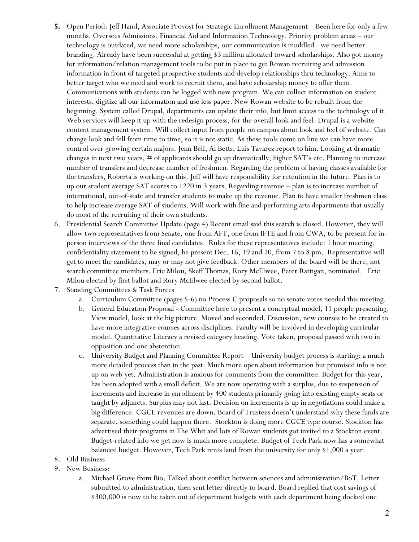- **5.** Open Period: Jeff Hand, Associate Provost for Strategic Enrollment Management Been here for only a few months. Oversees Admissions, Financial Aid and Information Technology. Priority problem areas – our technology is outdated, we need more scholarships, our communication is muddled - we need better branding. Already have been successful at getting \$3 million allocated toward scholarships. Also got money for information/relation management tools to be put in place to get Rowan recruiting and admission information in front of targeted prospective students and develop relationships thru technology. Aims to better target who we need and work to recruit them, and have scholarship money to offer them. Communications with students can be logged with new program. We can collect information on student interests, digitize all our information and use less paper. New Rowan website to be rebuilt from the beginning. System called Drupal, departments can update their info, but limit access to the technology of it. Web services will keep it up with the redesign process, for the overall look and feel. Drupal is a website content management system. Will collect input from people on campus about look and feel of website. Can change look and fell from time to time, so it is not static. As these tools come on line we can have more control over growing certain majors. Jenn Bell, Al Betts, Luis Tavarez report to him. Looking at dramatic changes in next two years, # of applicants should go up dramatically, higher SAT's etc. Planning to increase number of transfers and decrease number of freshmen. Regarding the problem of having classes available for the transfers, Roberta is working on this. Jeff will have responsibility for retention in the future. Plan is to up our student average SAT scores to 1220 in 3 years. Regarding revenue – plan is to increase number of international, out-of-state and transfer students to make up the revenue. Plan to have smaller freshmen class to help increase average SAT of students. Will work with fine and performing arts departments that usually do most of the recruiting of their own students.
- 6. Presidential Search Committee Update (page 4) Recent email said this search is closed. However, they will allow two representatives from Senate, one from AFT, one from IFTE and from CWA, to be present for inperson interviews of the three final candidates. Rules for these representatives include: 1 hour meeting, confidentiality statement to be signed, be present Dec. 16, 19 and 20, from 7 to 8 pm. Representative will get to meet the candidates, may or may not give feedback. Other members of the board will be there, not search committee members. Eric Milou, Skeff Thomas, Rory McElwee, Peter Rattigan, nominated. Eric Milou elected by first ballot and Rory McElwee elected by second ballot.
- 7. Standing Committees & Task Forces
	- a. Curriculum Committee (pages 5-6) no Process C proposals so no senate votes needed this meeting.
	- b. General Education Proposal Committee here to present a conceptual model, 11 people presenting. View model, look at the big picture. Moved and seconded. Discussion, new courses to be created to have more integrative courses across disciplines. Faculty will be involved in developing curricular model. Quantitative Literacy a revised category heading. Vote taken, proposal passed with two in opposition and one abstention.
	- c. University Budget and Planning Committee Report University budget process is starting; a much more detailed process than in the past. Much more open about information but promised info is not up on web yet. Administration is anxious for comments from the committee. Budget for this year, has been adopted with a small deficit. We are now operating with a surplus, due to suspension of increments and increase in enrollment by 400 students primarily going into existing empty seats or taught by adjuncts. Surplus may not last. Decision on increments is up in negotiations could make a big difference. CGCE revenues are down. Board of Trustees doesn't understand why these funds are separate, something could happen there. Stockton is doing more CGCE type course. Stockton has advertised their programs in The Whit and lots of Rowan students got invited to a Stockton event. Budget-related info we get now is much more complete. Budget of Tech Park now has a somewhat balanced budget. However, Tech Park rents land from the university for only \$1,000 a year.
- 8. Old Business
- 9. New Business:
	- a. Michael Grove from Bio. Talked about conflict between sciences and administration/BoT. Letter submitted to administration, then sent letter directly to board. Board replied that cost savings of \$300,000 is now to be taken out of department budgets with each department being docked one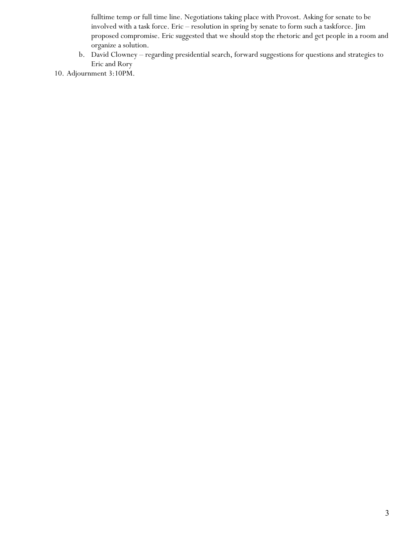fulltime temp or full time line. Negotiations taking place with Provost. Asking for senate to be involved with a task force. Eric – resolution in spring by senate to form such a taskforce. Jim proposed compromise. Eric suggested that we should stop the rhetoric and get people in a room and organize a solution.

- b. David Clowney regarding presidential search, forward suggestions for questions and strategies to Eric and Rory
- 10. Adjournment 3:10PM.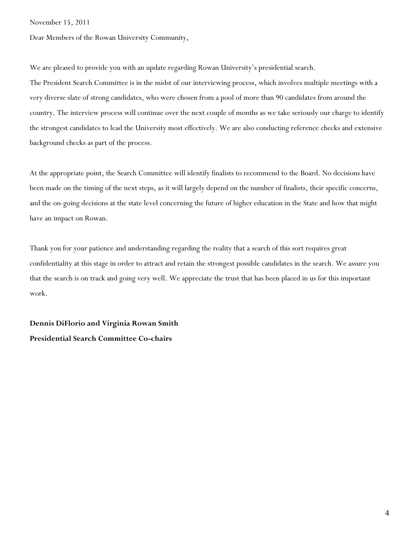November 15, 2011

Dear Members of the Rowan University Community,

We are pleased to provide you with an update regarding Rowan University's presidential search.

The President Search Committee is in the midst of our interviewing process, which involves multiple meetings with a very diverse slate of strong candidates, who were chosen from a pool of more than 90 candidates from around the country. The interview process will continue over the next couple of months as we take seriously our charge to identify the strongest candidates to lead the University most effectively. We are also conducting reference checks and extensive background checks as part of the process.

At the appropriate point, the Search Committee will identify finalists to recommend to the Board. No decisions have been made on the timing of the next steps, as it will largely depend on the number of finalists, their specific concerns, and the on-going decisions at the state level concerning the future of higher education in the State and how that might have an impact on Rowan.

Thank you for your patience and understanding regarding the reality that a search of this sort requires great confidentiality at this stage in order to attract and retain the strongest possible candidates in the search. We assure you that the search is on track and going very well. We appreciate the trust that has been placed in us for this important work.

**Dennis DiFlorio and Virginia Rowan Smith Presidential Search Committee Co-chairs**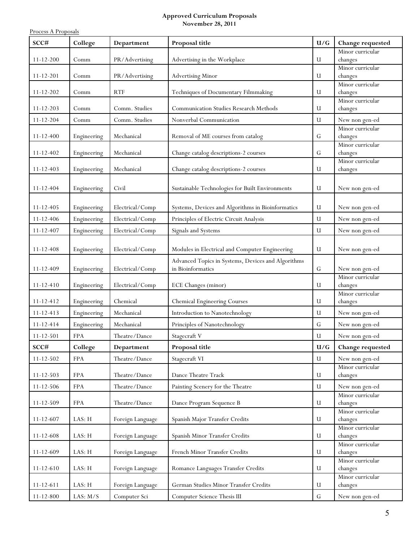## **Approved Curriculum Proposals November 28, 2011**

Process A Proposals

| SCC#            | College     | Department       | Proposal title                                     | U/G          | Change requested            |
|-----------------|-------------|------------------|----------------------------------------------------|--------------|-----------------------------|
|                 |             |                  |                                                    |              | Minor curricular            |
| $11 - 12 - 200$ | Comm        | PR/Advertising   | Advertising in the Workplace                       | U            | changes<br>Minor curricular |
| $11 - 12 - 201$ | Comm        | PR/Advertising   | <b>Advertising Minor</b>                           | $\mathbf{u}$ | changes                     |
|                 |             |                  |                                                    |              | Minor curricular            |
| $11 - 12 - 202$ | Comm        | <b>RTF</b>       | Techniques of Documentary Filmmaking               | $\mathbf{u}$ | changes                     |
|                 |             |                  |                                                    |              | Minor curricular            |
| $11 - 12 - 203$ | Comm        | Comm. Studies    | Communication Studies Research Methods             | $\mathbf{u}$ | changes                     |
| $11 - 12 - 204$ | Comm        | Comm. Studies    | Nonverbal Communication                            | $\mathbf{u}$ | New non gen-ed              |
| $11 - 12 - 400$ | Engineering | Mechanical       | Removal of ME courses from catalog                 | G            | Minor curricular<br>changes |
|                 |             |                  |                                                    |              | Minor curricular            |
| $11 - 12 - 402$ | Engineering | Mechanical       | Change catalog descriptions-2 courses              | G            | changes                     |
|                 |             |                  |                                                    |              | Minor curricular            |
| $11 - 12 - 403$ | Engineering | Mechanical       | Change catalog descriptions-2 courses              | U            | changes                     |
| $11 - 12 - 404$ | Engineering | Civil            | Sustainable Technologies for Built Environments    | $\mathbf{u}$ | New non gen-ed              |
|                 |             |                  |                                                    |              |                             |
| $11 - 12 - 405$ | Engineering | Electrical/Comp  | Systems, Devices and Algorithms in Bioinformatics  | U            | New non gen-ed              |
| $11 - 12 - 406$ | Engineering | Electrical/Comp  | Principles of Electric Circuit Analysis            | $\mathbf{u}$ | New non gen-ed              |
| $11 - 12 - 407$ | Engineering | Electrical/Comp  | Signals and Systems                                | U            | New non gen-ed              |
|                 |             |                  |                                                    |              |                             |
| $11 - 12 - 408$ | Engineering | Electrical/Comp  | Modules in Electrical and Computer Engineering     | U            | New non gen-ed              |
|                 |             |                  | Advanced Topics in Systems, Devices and Algorithms |              |                             |
| $11 - 12 - 409$ | Engineering | Electrical/Comp  | in Bioinformatics                                  | $\mathbf G$  | New non gen-ed              |
|                 |             |                  |                                                    |              | Minor curricular            |
| $11 - 12 - 410$ | Engineering | Electrical/Comp  | ECE Changes (minor)                                | U            | changes<br>Minor curricular |
| $11 - 12 - 412$ | Engineering | Chemical         | <b>Chemical Engineering Courses</b>                | U            | changes                     |
| $11 - 12 - 413$ | Engineering | Mechanical       | Introduction to Nanotechnology                     | U            | New non gen-ed              |
| $11 - 12 - 414$ | Engineering | Mechanical       | Principles of Nanotechnology                       | $\mathbf G$  | New non gen-ed              |
| $11 - 12 - 501$ | <b>FPA</b>  | Theatre/Dance    | Stagecraft V                                       | U            | New non gen-ed              |
| SCC#            | College     | Department       | Proposal title                                     | U/G          | Change requested            |
| $11 - 12 - 502$ | <b>FPA</b>  | Theatre/Dance    | Stagecraft VI                                      | U            | New non gen-ed              |
|                 |             |                  |                                                    |              | Minor curricular            |
| $11 - 12 - 503$ | <b>FPA</b>  | Theatre/Dance    | Dance Theatre Track                                | U            | changes                     |
| $11 - 12 - 506$ | <b>FPA</b>  | Theatre/Dance    | Painting Scenery for the Theatre                   | U            | New non gen-ed              |
|                 |             |                  |                                                    |              | Minor curricular            |
| $11 - 12 - 509$ | <b>FPA</b>  | Theatre/Dance    | Dance Program Sequence B                           | U            | changes                     |
| $11 - 12 - 607$ | LAS: H      | Foreign Language | Spanish Major Transfer Credits                     | U            | Minor curricular<br>changes |
|                 |             |                  |                                                    |              | Minor curricular            |
| $11 - 12 - 608$ | LAS: H      | Foreign Language | Spanish Minor Transfer Credits                     | U            | changes                     |
| 11-12-609       | LAS: H      | Foreign Language | French Minor Transfer Credits                      | U            | Minor curricular<br>changes |
|                 |             |                  |                                                    |              | Minor curricular            |
| $11 - 12 - 610$ | LAS: H      | Foreign Language | Romance Languages Transfer Credits                 | U            | changes                     |
| $11 - 12 - 611$ | LAS: H      | Foreign Language | German Studies Minor Transfer Credits              | U            | Minor curricular<br>changes |
|                 |             |                  |                                                    |              |                             |
| $11 - 12 - 800$ | LAS: $M/S$  | Computer Sci     | Computer Science Thesis III                        | ${\bf G}$    | New non gen-ed              |